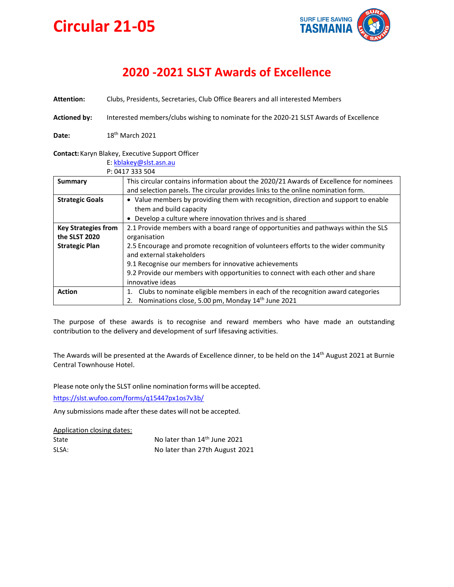

# **2020 -2021 SLST Awards of Excellence**

**Attention:** Clubs, Presidents, Secretaries, Club Office Bearers and all interested Members

**Actioned by:** Interested members/clubs wishing to nominate for the 2020-21 SLST Awards of Excellence

**Date:** 18th March 2021

### **Contact:**Karyn Blakey, Executive Support Officer

| E: kblakey@slst.asn.au     |                                                                                        |
|----------------------------|----------------------------------------------------------------------------------------|
| P: 0417 333 504            |                                                                                        |
| Summary                    | This circular contains information about the 2020/21 Awards of Excellence for nominees |
|                            | and selection panels. The circular provides links to the online nomination form.       |
| <b>Strategic Goals</b>     | • Value members by providing them with recognition, direction and support to enable    |
|                            | them and build capacity                                                                |
|                            | • Develop a culture where innovation thrives and is shared                             |
| <b>Key Strategies from</b> | 2.1 Provide members with a board range of opportunities and pathways within the SLS    |
| the SLST 2020              | organisation                                                                           |
| <b>Strategic Plan</b>      | 2.5 Encourage and promote recognition of volunteers efforts to the wider community     |
|                            | and external stakeholders                                                              |
|                            | 9.1 Recognise our members for innovative achievements                                  |
|                            | 9.2 Provide our members with opportunities to connect with each other and share        |
|                            | innovative ideas                                                                       |
| <b>Action</b>              | Clubs to nominate eligible members in each of the recognition award categories<br>1.   |
|                            | Nominations close, 5.00 pm, Monday 14th June 2021<br>2.                                |

The purpose of these awards is to recognise and reward members who have made an outstanding contribution to the delivery and development of surf lifesaving activities.

The Awards will be presented at the Awards of Excellence dinner, to be held on the 14<sup>th</sup> August 2021 at Burnie Central Townhouse Hotel.

Please note only the SLST online nomination forms will be accepted.

<https://slst.wufoo.com/forms/q15447px1os7v3b/>

Any submissions made after these dates will not be accepted.

Application closing dates:

| State | No later than 14 <sup>th</sup> June 2021 |
|-------|------------------------------------------|
| SLSA: | No later than 27th August 2021           |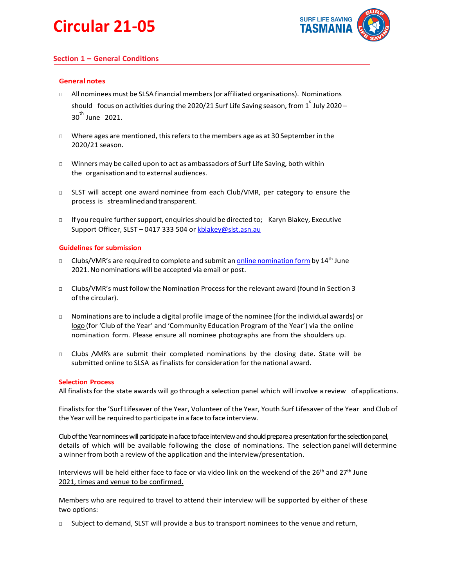

# **Section 1 – General Conditions**

### **General notes**

- □ All nominees must be SLSA financial members (or affiliated organisations). Nominations should focus on activities during the 2020/21 Surf Life Saving season, from  $1^{^{\circ}}$  July 2020 – 30<sup>th</sup> June 2021.
- □ Where ages are mentioned, thisrefersto the members age as at 30 September in the 2020/21 season.
- □ Winners may be called upon to act as ambassadors of Surf Life Saving, both within the organisation and to external audiences.
- □ SLST will accept one award nominee from each Club/VMR, per category to ensure the process is streamlinedandtransparent.
- □ If you require further support, enquiries should be directed to; Karyn Blakey, Executive Support Officer, SLST – 0417 333 504 or [kblakey@slst.asn.au](mailto:kblakey@slst.asn.au)

#### **Guidelines for submission**

- □ Clubs/VMR's are required to complete and submit an *online [nomination](https://slst.wufoo.com/forms/q15447px1os7v3b/) form* by 14<sup>th</sup> June 2021.No nominations will be accepted via email or post.
- □ Clubs/VMR's must follow the Nomination Process for the relevant award (found in Section 3 ofthe circular).
- □ Nominations are to include a digital profile image of the nominee (for the individual awards) or logo (for 'Club of the Year' and 'Community Education Program of the Year') via the online nomination form. Please ensure all nominee photographs are from the shoulders up.
- □ Clubs /VMR's are submit their completed nominations by the closing date. State will be submitted online to SLSA as finalists for consideration for the national award.

#### **Selection Process**

All finalistsfor the state awards will go through a selection panel which will involve a review ofapplications.

Finalistsfor the 'Surf Lifesaver of the Year, Volunteer of the Year, Youth Surf Lifesaver of the Year and Club of the Year will be requiredto participate ina face to face interview.

Club of the Year nominees will participate in a face to face interview and should prepare a presentation for the selection panel, details of which will be available following the close of nominations. The selection panel will determine a winner from both a review of the application and the interview/presentation.

Interviews will be held either face to face or via video link on the weekend of the 26<sup>th</sup> and 27<sup>th</sup> June 2021, times and venue to be confirmed.

Members who are required to travel to attend their interview will be supported by either of these two options:

Subject to demand, SLST will provide a bus to transport nominees to the venue and return,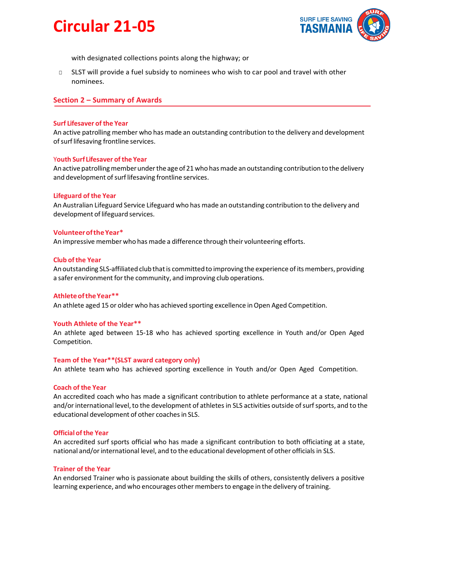

with designated collections points along the highway; or

□ SLST will provide a fuel subsidy to nominees who wish to car pool and travel with other nominees.

#### **Section 2 – Summary of Awards**

#### **Surf Lifesaver of the Year**

An active patrolling member who has made an outstanding contribution to the delivery and development of surf lifesaving frontline services.

#### Y**outh Surf Lifesaver ofthe Year**

An active patrolling member under the age of 21 who has made an outstanding contribution to the delivery and development of surf lifesaving frontline services.

#### **Lifeguard of the Year**

An Australian Lifeguard Service Lifeguard who has made an outstanding contribution to the delivery and development of lifeguard services.

#### **VolunteeroftheYear\***

An impressive member who has made a difference through their volunteering efforts.

#### **Club ofthe Year**

An outstanding SLS-affiliated club that is committed to improving the experience of its members, providing a safer environment forthe community, and improving club operations.

#### **AthleteoftheYear\*\***

An athlete aged 15 or older who has achieved sporting excellence in Open Aged Competition.

#### **Youth Athlete of the Year\*\***

An athlete aged between 15-18 who has achieved sporting excellence in Youth and/or Open Aged Competition.

#### **Team of the Year\*\*(SLST award category only)**

An athlete team who has achieved sporting excellence in Youth and/or Open Aged Competition.

#### **Coach of the Year**

An accredited coach who has made a significant contribution to athlete performance at a state, national and/or international level, to the development of athletes in SLS activities outside of surf sports, and to the educational development of other coachesin SLS.

#### **Official of the Year**

An accredited surf sports official who has made a significant contribution to both officiating at a state, national and/or international level, and to the educational development of other officials in SLS.

#### **Trainer of the Year**

An endorsed Trainer who is passionate about building the skills of others, consistently delivers a positive learning experience, and who encourages other members to engage in the delivery of training.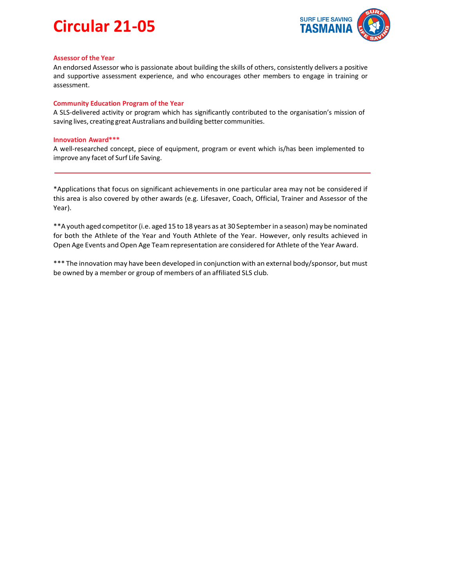

#### **Assessor of the Year**

An endorsed Assessor who is passionate about building the skills of others, consistently delivers a positive and supportive assessment experience, and who encourages other members to engage in training or assessment.

#### **Community Education Program of the Year**

A SLS-delivered activity or program which has significantly contributed to the organisation's mission of saving lives, creating great Australians and building better communities.

#### **Innovation Award\*\*\***

A well-researched concept, piece of equipment, program or event which is/has been implemented to improve any facet of Surf Life Saving.

\*Applications that focus on significant achievements in one particular area may not be considered if this area is also covered by other awards (e.g. Lifesaver, Coach, Official, Trainer and Assessor of the Year).

\*\*Ayouth aged competitor(i.e. aged 15 to 18 years as at 30 Septemberin a season) may be nominated for both the Athlete of the Year and Youth Athlete of the Year. However, only results achieved in Open Age Events and Open Age Teamrepresentation are considered for Athlete of the Year Award.

\*\*\* The innovation may have been developed in conjunction with an external body/sponsor, but must be owned by a member or group of members of an affiliated SLS club.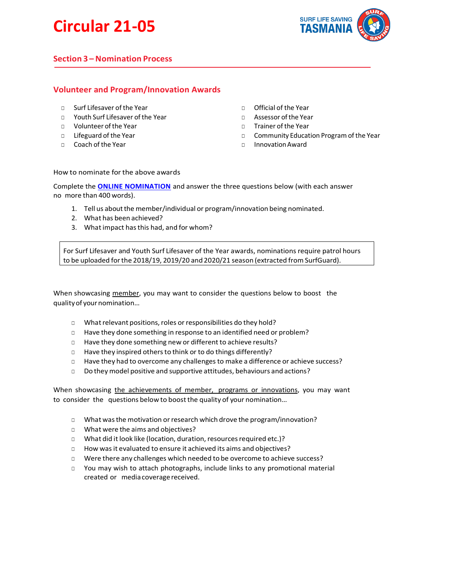

# **Section 3 –Nomination Process**

# **Volunteer and Program/Innovation Awards**

- □ Surf Lifesaver of the Year
- □ Youth Surf Lifesaver of the Year
- □ Volunteer ofthe Year
- □ Lifeguard of the Year
- □ Coach of the Year
- □ Official of the Year
- □ Assessor ofthe Year
- □ Trainer of the Year
- □ Community Education Program of the Year
- □ InnovationAward

#### How to nominate for the above awards

Complete the **[ONLINE NOMINATION](https://slst.wufoo.com/forms/q15447px1os7v3b/)** and answer the three questions below (with each answer no more than 400 words).

- 1. Tell us about the member/individual or program/innovation being nominated.
- 2. What has been achieved?
- 3. What impact hasthis had, and for whom?

For Surf Lifesaver and Youth Surf Lifesaver of the Year awards, nominations require patrol hours to be uploaded forthe 2018/19, 2019/20 and 2020/21 season (extracted from SurfGuard).

When showcasing member, you may want to consider the questions below to boost the qualityof yournomination…

- □ What relevant positions, roles or responsibilities do they hold?
- □ Have they done something in response to an identified need or problem?
- □ Have they done something new or different to achieve results?
- □ Have they inspired others to think or to do things differently?
- □ Have they had to overcome any challenges to make a difference or achieve success?
- □ Do they model positive and supportive attitudes, behaviours and actions?

When showcasing the achievements of member, programs or innovations, you may want to consider the questions below to boost the quality of your nomination…

- □ What was the motivation or research which drove the program/innovation?
- □ What were the aims and objectives?
- □ What did it look like (location, duration, resources required etc.)?
- □ How was it evaluated to ensure it achieved its aims and objectives?
- □ Were there any challenges which needed to be overcome to achieve success?
- □ You may wish to attach photographs, include links to any promotional material created or media coverage received.